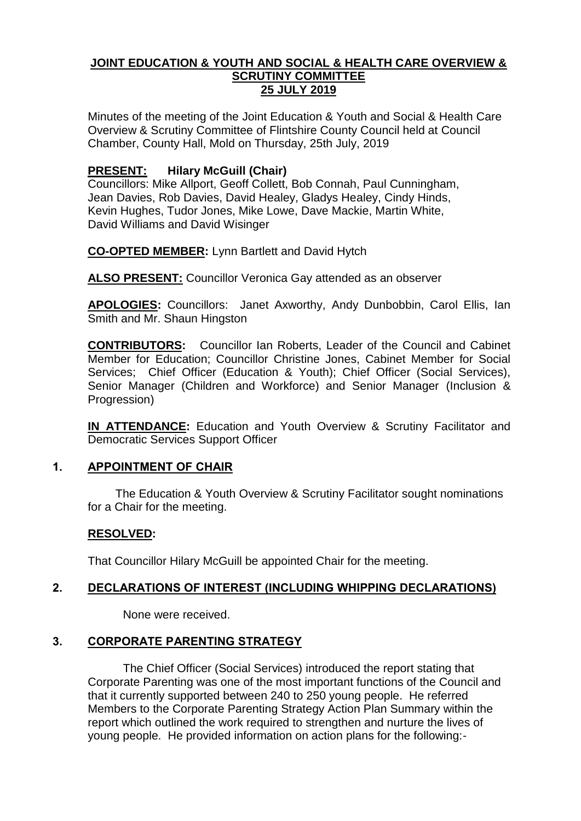#### **JOINT EDUCATION & YOUTH AND SOCIAL & HEALTH CARE OVERVIEW & SCRUTINY COMMITTEE 25 JULY 2019**

Minutes of the meeting of the Joint Education & Youth and Social & Health Care Overview & Scrutiny Committee of Flintshire County Council held at Council Chamber, County Hall, Mold on Thursday, 25th July, 2019

# **PRESENT: Hilary McGuill (Chair)**

Councillors: Mike Allport, Geoff Collett, Bob Connah, Paul Cunningham, Jean Davies, Rob Davies, David Healey, Gladys Healey, Cindy Hinds, Kevin Hughes, Tudor Jones, Mike Lowe, Dave Mackie, Martin White, David Williams and David Wisinger

**CO-OPTED MEMBER:** Lynn Bartlett and David Hytch

**ALSO PRESENT:** Councillor Veronica Gay attended as an observer

**APOLOGIES:** Councillors:Janet Axworthy, Andy Dunbobbin, Carol Ellis, Ian Smith and Mr. Shaun Hingston

**CONTRIBUTORS:** Councillor Ian Roberts, Leader of the Council and Cabinet Member for Education; Councillor Christine Jones, Cabinet Member for Social Services; Chief Officer (Education & Youth); Chief Officer (Social Services), Senior Manager (Children and Workforce) and Senior Manager (Inclusion & Progression)

**IN ATTENDANCE:** Education and Youth Overview & Scrutiny Facilitator and Democratic Services Support Officer

# **1. APPOINTMENT OF CHAIR**

The Education & Youth Overview & Scrutiny Facilitator sought nominations for a Chair for the meeting.

# **RESOLVED:**

That Councillor Hilary McGuill be appointed Chair for the meeting.

# **2. DECLARATIONS OF INTEREST (INCLUDING WHIPPING DECLARATIONS)**

None were received.

# **3. CORPORATE PARENTING STRATEGY**

The Chief Officer (Social Services) introduced the report stating that Corporate Parenting was one of the most important functions of the Council and that it currently supported between 240 to 250 young people. He referred Members to the Corporate Parenting Strategy Action Plan Summary within the report which outlined the work required to strengthen and nurture the lives of young people. He provided information on action plans for the following:-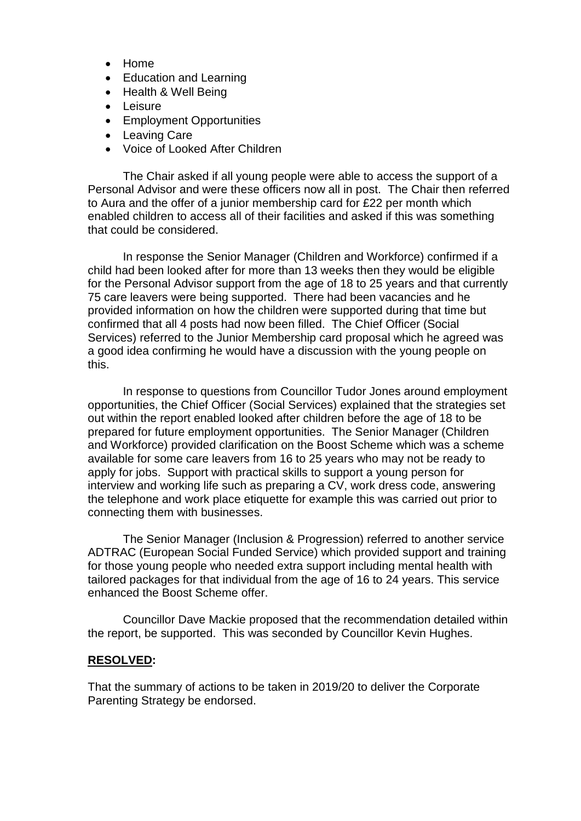- Home
- Education and Learning
- Health & Well Being
- Leisure
- Employment Opportunities
- Leaving Care
- Voice of Looked After Children

The Chair asked if all young people were able to access the support of a Personal Advisor and were these officers now all in post. The Chair then referred to Aura and the offer of a junior membership card for £22 per month which enabled children to access all of their facilities and asked if this was something that could be considered.

In response the Senior Manager (Children and Workforce) confirmed if a child had been looked after for more than 13 weeks then they would be eligible for the Personal Advisor support from the age of 18 to 25 years and that currently 75 care leavers were being supported. There had been vacancies and he provided information on how the children were supported during that time but confirmed that all 4 posts had now been filled. The Chief Officer (Social Services) referred to the Junior Membership card proposal which he agreed was a good idea confirming he would have a discussion with the young people on this.

In response to questions from Councillor Tudor Jones around employment opportunities, the Chief Officer (Social Services) explained that the strategies set out within the report enabled looked after children before the age of 18 to be prepared for future employment opportunities. The Senior Manager (Children and Workforce) provided clarification on the Boost Scheme which was a scheme available for some care leavers from 16 to 25 years who may not be ready to apply for jobs. Support with practical skills to support a young person for interview and working life such as preparing a CV, work dress code, answering the telephone and work place etiquette for example this was carried out prior to connecting them with businesses.

The Senior Manager (Inclusion & Progression) referred to another service ADTRAC (European Social Funded Service) which provided support and training for those young people who needed extra support including mental health with tailored packages for that individual from the age of 16 to 24 years. This service enhanced the Boost Scheme offer.

Councillor Dave Mackie proposed that the recommendation detailed within the report, be supported. This was seconded by Councillor Kevin Hughes.

# **RESOLVED:**

That the summary of actions to be taken in 2019/20 to deliver the Corporate Parenting Strategy be endorsed.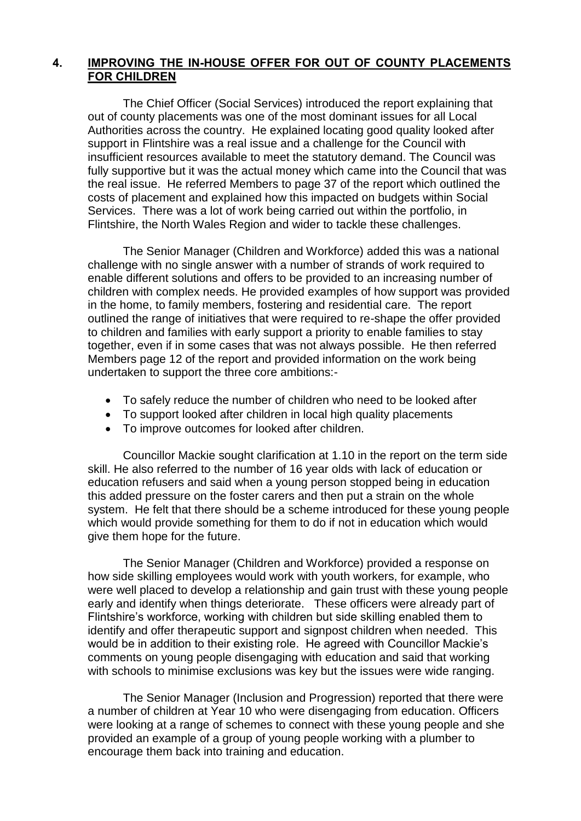# **4. IMPROVING THE IN-HOUSE OFFER FOR OUT OF COUNTY PLACEMENTS FOR CHILDREN**

The Chief Officer (Social Services) introduced the report explaining that out of county placements was one of the most dominant issues for all Local Authorities across the country. He explained locating good quality looked after support in Flintshire was a real issue and a challenge for the Council with insufficient resources available to meet the statutory demand. The Council was fully supportive but it was the actual money which came into the Council that was the real issue. He referred Members to page 37 of the report which outlined the costs of placement and explained how this impacted on budgets within Social Services. There was a lot of work being carried out within the portfolio, in Flintshire, the North Wales Region and wider to tackle these challenges.

The Senior Manager (Children and Workforce) added this was a national challenge with no single answer with a number of strands of work required to enable different solutions and offers to be provided to an increasing number of children with complex needs. He provided examples of how support was provided in the home, to family members, fostering and residential care. The report outlined the range of initiatives that were required to re-shape the offer provided to children and families with early support a priority to enable families to stay together, even if in some cases that was not always possible. He then referred Members page 12 of the report and provided information on the work being undertaken to support the three core ambitions:-

- To safely reduce the number of children who need to be looked after
- To support looked after children in local high quality placements
- To improve outcomes for looked after children.

Councillor Mackie sought clarification at 1.10 in the report on the term side skill. He also referred to the number of 16 year olds with lack of education or education refusers and said when a young person stopped being in education this added pressure on the foster carers and then put a strain on the whole system. He felt that there should be a scheme introduced for these young people which would provide something for them to do if not in education which would give them hope for the future.

The Senior Manager (Children and Workforce) provided a response on how side skilling employees would work with youth workers, for example, who were well placed to develop a relationship and gain trust with these young people early and identify when things deteriorate. These officers were already part of Flintshire's workforce, working with children but side skilling enabled them to identify and offer therapeutic support and signpost children when needed. This would be in addition to their existing role. He agreed with Councillor Mackie's comments on young people disengaging with education and said that working with schools to minimise exclusions was key but the issues were wide ranging.

The Senior Manager (Inclusion and Progression) reported that there were a number of children at Year 10 who were disengaging from education. Officers were looking at a range of schemes to connect with these young people and she provided an example of a group of young people working with a plumber to encourage them back into training and education.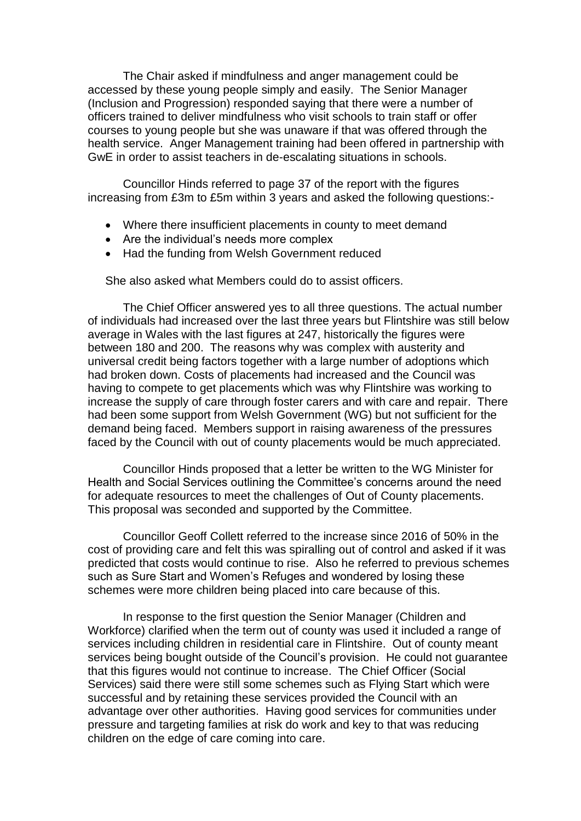The Chair asked if mindfulness and anger management could be accessed by these young people simply and easily. The Senior Manager (Inclusion and Progression) responded saying that there were a number of officers trained to deliver mindfulness who visit schools to train staff or offer courses to young people but she was unaware if that was offered through the health service. Anger Management training had been offered in partnership with GwE in order to assist teachers in de-escalating situations in schools.

Councillor Hinds referred to page 37 of the report with the figures increasing from £3m to £5m within 3 years and asked the following questions:-

- Where there insufficient placements in county to meet demand
- Are the individual's needs more complex
- Had the funding from Welsh Government reduced

She also asked what Members could do to assist officers.

The Chief Officer answered yes to all three questions. The actual number of individuals had increased over the last three years but Flintshire was still below average in Wales with the last figures at 247, historically the figures were between 180 and 200. The reasons why was complex with austerity and universal credit being factors together with a large number of adoptions which had broken down. Costs of placements had increased and the Council was having to compete to get placements which was why Flintshire was working to increase the supply of care through foster carers and with care and repair. There had been some support from Welsh Government (WG) but not sufficient for the demand being faced. Members support in raising awareness of the pressures faced by the Council with out of county placements would be much appreciated.

Councillor Hinds proposed that a letter be written to the WG Minister for Health and Social Services outlining the Committee's concerns around the need for adequate resources to meet the challenges of Out of County placements. This proposal was seconded and supported by the Committee.

Councillor Geoff Collett referred to the increase since 2016 of 50% in the cost of providing care and felt this was spiralling out of control and asked if it was predicted that costs would continue to rise. Also he referred to previous schemes such as Sure Start and Women's Refuges and wondered by losing these schemes were more children being placed into care because of this.

In response to the first question the Senior Manager (Children and Workforce) clarified when the term out of county was used it included a range of services including children in residential care in Flintshire. Out of county meant services being bought outside of the Council's provision. He could not guarantee that this figures would not continue to increase. The Chief Officer (Social Services) said there were still some schemes such as Flying Start which were successful and by retaining these services provided the Council with an advantage over other authorities. Having good services for communities under pressure and targeting families at risk do work and key to that was reducing children on the edge of care coming into care.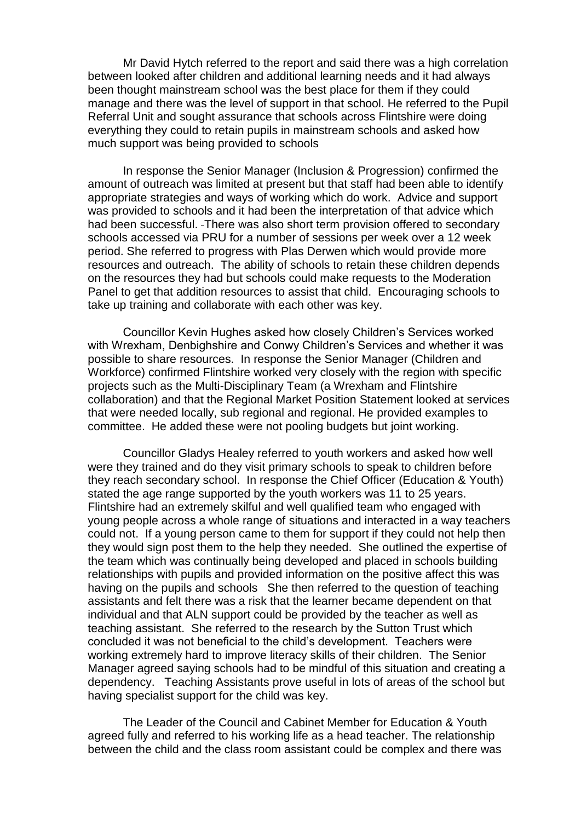Mr David Hytch referred to the report and said there was a high correlation between looked after children and additional learning needs and it had always been thought mainstream school was the best place for them if they could manage and there was the level of support in that school. He referred to the Pupil Referral Unit and sought assurance that schools across Flintshire were doing everything they could to retain pupils in mainstream schools and asked how much support was being provided to schools

In response the Senior Manager (Inclusion & Progression) confirmed the amount of outreach was limited at present but that staff had been able to identify appropriate strategies and ways of working which do work. Advice and support was provided to schools and it had been the interpretation of that advice which had been successful. There was also short term provision offered to secondary schools accessed via PRU for a number of sessions per week over a 12 week period. She referred to progress with Plas Derwen which would provide more resources and outreach. The ability of schools to retain these children depends on the resources they had but schools could make requests to the Moderation Panel to get that addition resources to assist that child. Encouraging schools to take up training and collaborate with each other was key.

Councillor Kevin Hughes asked how closely Children's Services worked with Wrexham, Denbighshire and Conwy Children's Services and whether it was possible to share resources. In response the Senior Manager (Children and Workforce) confirmed Flintshire worked very closely with the region with specific projects such as the Multi-Disciplinary Team (a Wrexham and Flintshire collaboration) and that the Regional Market Position Statement looked at services that were needed locally, sub regional and regional. He provided examples to committee. He added these were not pooling budgets but joint working.

Councillor Gladys Healey referred to youth workers and asked how well were they trained and do they visit primary schools to speak to children before they reach secondary school. In response the Chief Officer (Education & Youth) stated the age range supported by the youth workers was 11 to 25 years. Flintshire had an extremely skilful and well qualified team who engaged with young people across a whole range of situations and interacted in a way teachers could not. If a young person came to them for support if they could not help then they would sign post them to the help they needed. She outlined the expertise of the team which was continually being developed and placed in schools building relationships with pupils and provided information on the positive affect this was having on the pupils and schools She then referred to the question of teaching assistants and felt there was a risk that the learner became dependent on that individual and that ALN support could be provided by the teacher as well as teaching assistant. She referred to the research by the Sutton Trust which concluded it was not beneficial to the child's development. Teachers were working extremely hard to improve literacy skills of their children. The Senior Manager agreed saying schools had to be mindful of this situation and creating a dependency. Teaching Assistants prove useful in lots of areas of the school but having specialist support for the child was key.

The Leader of the Council and Cabinet Member for Education & Youth agreed fully and referred to his working life as a head teacher. The relationship between the child and the class room assistant could be complex and there was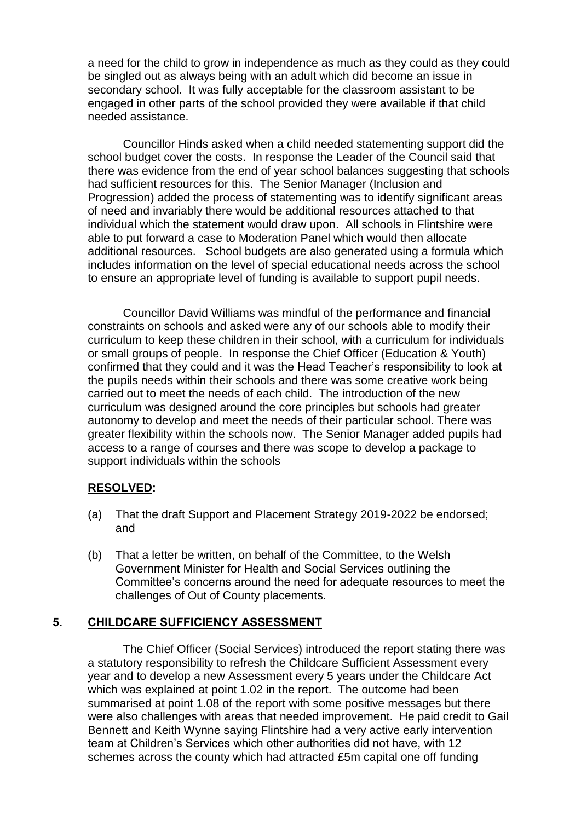a need for the child to grow in independence as much as they could as they could be singled out as always being with an adult which did become an issue in secondary school. It was fully acceptable for the classroom assistant to be engaged in other parts of the school provided they were available if that child needed assistance.

Councillor Hinds asked when a child needed statementing support did the school budget cover the costs. In response the Leader of the Council said that there was evidence from the end of year school balances suggesting that schools had sufficient resources for this. The Senior Manager (Inclusion and Progression) added the process of statementing was to identify significant areas of need and invariably there would be additional resources attached to that individual which the statement would draw upon. All schools in Flintshire were able to put forward a case to Moderation Panel which would then allocate additional resources. School budgets are also generated using a formula which includes information on the level of special educational needs across the school to ensure an appropriate level of funding is available to support pupil needs.

Councillor David Williams was mindful of the performance and financial constraints on schools and asked were any of our schools able to modify their curriculum to keep these children in their school, with a curriculum for individuals or small groups of people. In response the Chief Officer (Education & Youth) confirmed that they could and it was the Head Teacher's responsibility to look at the pupils needs within their schools and there was some creative work being carried out to meet the needs of each child. The introduction of the new curriculum was designed around the core principles but schools had greater autonomy to develop and meet the needs of their particular school. There was greater flexibility within the schools now. The Senior Manager added pupils had access to a range of courses and there was scope to develop a package to support individuals within the schools

# **RESOLVED:**

- (a) That the draft Support and Placement Strategy 2019-2022 be endorsed; and
- (b) That a letter be written, on behalf of the Committee, to the Welsh Government Minister for Health and Social Services outlining the Committee's concerns around the need for adequate resources to meet the challenges of Out of County placements.

# **5. CHILDCARE SUFFICIENCY ASSESSMENT**

The Chief Officer (Social Services) introduced the report stating there was a statutory responsibility to refresh the Childcare Sufficient Assessment every year and to develop a new Assessment every 5 years under the Childcare Act which was explained at point 1.02 in the report. The outcome had been summarised at point 1.08 of the report with some positive messages but there were also challenges with areas that needed improvement. He paid credit to Gail Bennett and Keith Wynne saying Flintshire had a very active early intervention team at Children's Services which other authorities did not have, with 12 schemes across the county which had attracted £5m capital one off funding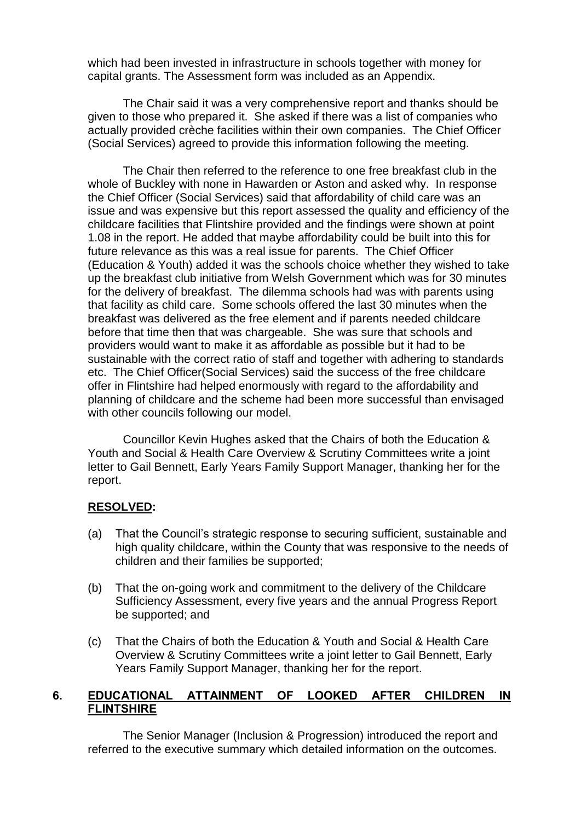which had been invested in infrastructure in schools together with money for capital grants. The Assessment form was included as an Appendix.

The Chair said it was a very comprehensive report and thanks should be given to those who prepared it. She asked if there was a list of companies who actually provided crèche facilities within their own companies. The Chief Officer (Social Services) agreed to provide this information following the meeting.

The Chair then referred to the reference to one free breakfast club in the whole of Buckley with none in Hawarden or Aston and asked why. In response the Chief Officer (Social Services) said that affordability of child care was an issue and was expensive but this report assessed the quality and efficiency of the childcare facilities that Flintshire provided and the findings were shown at point 1.08 in the report. He added that maybe affordability could be built into this for future relevance as this was a real issue for parents. The Chief Officer (Education & Youth) added it was the schools choice whether they wished to take up the breakfast club initiative from Welsh Government which was for 30 minutes for the delivery of breakfast. The dilemma schools had was with parents using that facility as child care. Some schools offered the last 30 minutes when the breakfast was delivered as the free element and if parents needed childcare before that time then that was chargeable. She was sure that schools and providers would want to make it as affordable as possible but it had to be sustainable with the correct ratio of staff and together with adhering to standards etc. The Chief Officer(Social Services) said the success of the free childcare offer in Flintshire had helped enormously with regard to the affordability and planning of childcare and the scheme had been more successful than envisaged with other councils following our model.

Councillor Kevin Hughes asked that the Chairs of both the Education & Youth and Social & Health Care Overview & Scrutiny Committees write a joint letter to Gail Bennett, Early Years Family Support Manager, thanking her for the report.

# **RESOLVED:**

- (a) That the Council's strategic response to securing sufficient, sustainable and high quality childcare, within the County that was responsive to the needs of children and their families be supported;
- (b) That the on-going work and commitment to the delivery of the Childcare Sufficiency Assessment, every five years and the annual Progress Report be supported; and
- (c) That the Chairs of both the Education & Youth and Social & Health Care Overview & Scrutiny Committees write a joint letter to Gail Bennett, Early Years Family Support Manager, thanking her for the report.

# **6. EDUCATIONAL ATTAINMENT OF LOOKED AFTER CHILDREN IN FLINTSHIRE**

The Senior Manager (Inclusion & Progression) introduced the report and referred to the executive summary which detailed information on the outcomes.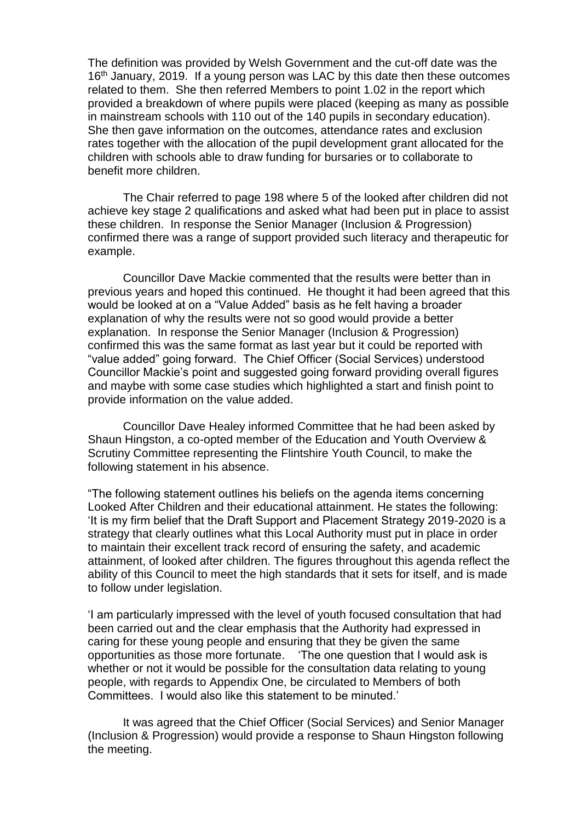The definition was provided by Welsh Government and the cut-off date was the 16<sup>th</sup> January, 2019. If a young person was LAC by this date then these outcomes related to them. She then referred Members to point 1.02 in the report which provided a breakdown of where pupils were placed (keeping as many as possible in mainstream schools with 110 out of the 140 pupils in secondary education). She then gave information on the outcomes, attendance rates and exclusion rates together with the allocation of the pupil development grant allocated for the children with schools able to draw funding for bursaries or to collaborate to benefit more children.

The Chair referred to page 198 where 5 of the looked after children did not achieve key stage 2 qualifications and asked what had been put in place to assist these children. In response the Senior Manager (Inclusion & Progression) confirmed there was a range of support provided such literacy and therapeutic for example.

Councillor Dave Mackie commented that the results were better than in previous years and hoped this continued. He thought it had been agreed that this would be looked at on a "Value Added" basis as he felt having a broader explanation of why the results were not so good would provide a better explanation. In response the Senior Manager (Inclusion & Progression) confirmed this was the same format as last year but it could be reported with "value added" going forward. The Chief Officer (Social Services) understood Councillor Mackie's point and suggested going forward providing overall figures and maybe with some case studies which highlighted a start and finish point to provide information on the value added.

Councillor Dave Healey informed Committee that he had been asked by Shaun Hingston, a co-opted member of the Education and Youth Overview & Scrutiny Committee representing the Flintshire Youth Council, to make the following statement in his absence.

"The following statement outlines his beliefs on the agenda items concerning Looked After Children and their educational attainment. He states the following: 'It is my firm belief that the Draft Support and Placement Strategy 2019-2020 is a strategy that clearly outlines what this Local Authority must put in place in order to maintain their excellent track record of ensuring the safety, and academic attainment, of looked after children. The figures throughout this agenda reflect the ability of this Council to meet the high standards that it sets for itself, and is made to follow under legislation.

'I am particularly impressed with the level of youth focused consultation that had been carried out and the clear emphasis that the Authority had expressed in caring for these young people and ensuring that they be given the same opportunities as those more fortunate. 'The one question that I would ask is whether or not it would be possible for the consultation data relating to young people, with regards to Appendix One, be circulated to Members of both Committees. I would also like this statement to be minuted.'

It was agreed that the Chief Officer (Social Services) and Senior Manager (Inclusion & Progression) would provide a response to Shaun Hingston following the meeting.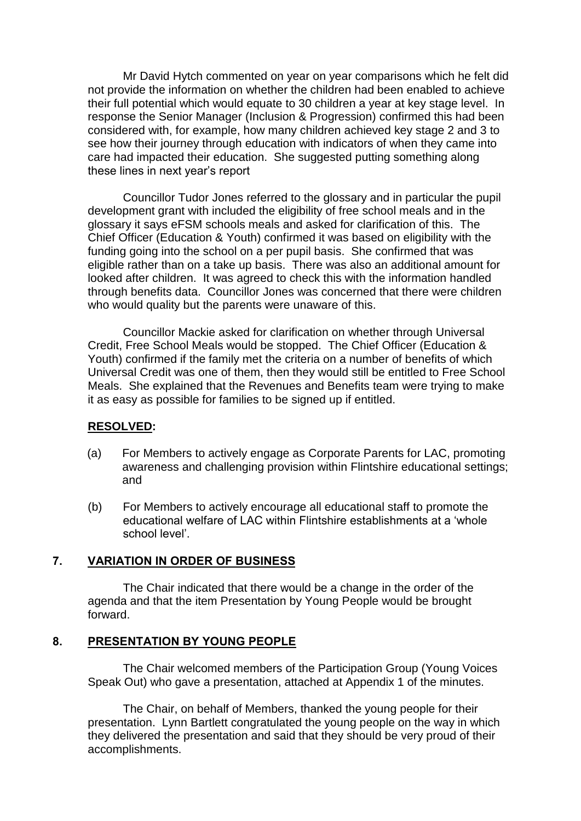Mr David Hytch commented on year on year comparisons which he felt did not provide the information on whether the children had been enabled to achieve their full potential which would equate to 30 children a year at key stage level. In response the Senior Manager (Inclusion & Progression) confirmed this had been considered with, for example, how many children achieved key stage 2 and 3 to see how their journey through education with indicators of when they came into care had impacted their education. She suggested putting something along these lines in next year's report

Councillor Tudor Jones referred to the glossary and in particular the pupil development grant with included the eligibility of free school meals and in the glossary it says eFSM schools meals and asked for clarification of this. The Chief Officer (Education & Youth) confirmed it was based on eligibility with the funding going into the school on a per pupil basis. She confirmed that was eligible rather than on a take up basis. There was also an additional amount for looked after children. It was agreed to check this with the information handled through benefits data. Councillor Jones was concerned that there were children who would quality but the parents were unaware of this.

Councillor Mackie asked for clarification on whether through Universal Credit, Free School Meals would be stopped. The Chief Officer (Education & Youth) confirmed if the family met the criteria on a number of benefits of which Universal Credit was one of them, then they would still be entitled to Free School Meals. She explained that the Revenues and Benefits team were trying to make it as easy as possible for families to be signed up if entitled.

# **RESOLVED:**

- (a) For Members to actively engage as Corporate Parents for LAC, promoting awareness and challenging provision within Flintshire educational settings; and
- (b) For Members to actively encourage all educational staff to promote the educational welfare of LAC within Flintshire establishments at a 'whole school level'.

#### **7. VARIATION IN ORDER OF BUSINESS**

The Chair indicated that there would be a change in the order of the agenda and that the item Presentation by Young People would be brought forward.

#### **8. PRESENTATION BY YOUNG PEOPLE**

The Chair welcomed members of the Participation Group (Young Voices Speak Out) who gave a presentation, attached at Appendix 1 of the minutes.

The Chair, on behalf of Members, thanked the young people for their presentation. Lynn Bartlett congratulated the young people on the way in which they delivered the presentation and said that they should be very proud of their accomplishments.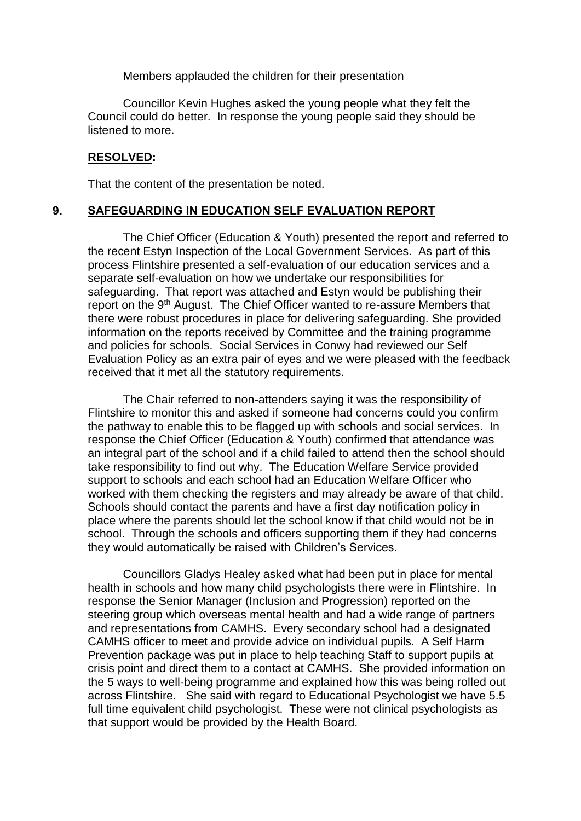Members applauded the children for their presentation

Councillor Kevin Hughes asked the young people what they felt the Council could do better. In response the young people said they should be listened to more.

#### **RESOLVED:**

That the content of the presentation be noted.

#### **9. SAFEGUARDING IN EDUCATION SELF EVALUATION REPORT**

The Chief Officer (Education & Youth) presented the report and referred to the recent Estyn Inspection of the Local Government Services. As part of this process Flintshire presented a self-evaluation of our education services and a separate self-evaluation on how we undertake our responsibilities for safeguarding. That report was attached and Estyn would be publishing their report on the 9<sup>th</sup> August. The Chief Officer wanted to re-assure Members that there were robust procedures in place for delivering safeguarding. She provided information on the reports received by Committee and the training programme and policies for schools. Social Services in Conwy had reviewed our Self Evaluation Policy as an extra pair of eyes and we were pleased with the feedback received that it met all the statutory requirements.

The Chair referred to non-attenders saying it was the responsibility of Flintshire to monitor this and asked if someone had concerns could you confirm the pathway to enable this to be flagged up with schools and social services. In response the Chief Officer (Education & Youth) confirmed that attendance was an integral part of the school and if a child failed to attend then the school should take responsibility to find out why. The Education Welfare Service provided support to schools and each school had an Education Welfare Officer who worked with them checking the registers and may already be aware of that child. Schools should contact the parents and have a first day notification policy in place where the parents should let the school know if that child would not be in school. Through the schools and officers supporting them if they had concerns they would automatically be raised with Children's Services.

Councillors Gladys Healey asked what had been put in place for mental health in schools and how many child psychologists there were in Flintshire. In response the Senior Manager (Inclusion and Progression) reported on the steering group which overseas mental health and had a wide range of partners and representations from CAMHS. Every secondary school had a designated CAMHS officer to meet and provide advice on individual pupils. A Self Harm Prevention package was put in place to help teaching Staff to support pupils at crisis point and direct them to a contact at CAMHS. She provided information on the 5 ways to well-being programme and explained how this was being rolled out across Flintshire. She said with regard to Educational Psychologist we have 5.5 full time equivalent child psychologist. These were not clinical psychologists as that support would be provided by the Health Board.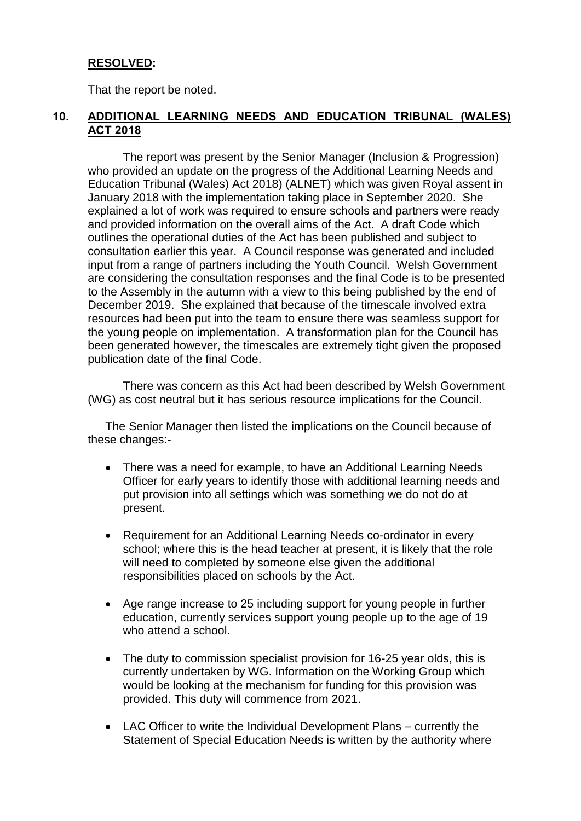# **RESOLVED:**

That the report be noted.

# **10. ADDITIONAL LEARNING NEEDS AND EDUCATION TRIBUNAL (WALES) ACT 2018**

The report was present by the Senior Manager (Inclusion & Progression) who provided an update on the progress of the Additional Learning Needs and Education Tribunal (Wales) Act 2018) (ALNET) which was given Royal assent in January 2018 with the implementation taking place in September 2020. She explained a lot of work was required to ensure schools and partners were ready and provided information on the overall aims of the Act. A draft Code which outlines the operational duties of the Act has been published and subject to consultation earlier this year. A Council response was generated and included input from a range of partners including the Youth Council. Welsh Government are considering the consultation responses and the final Code is to be presented to the Assembly in the autumn with a view to this being published by the end of December 2019. She explained that because of the timescale involved extra resources had been put into the team to ensure there was seamless support for the young people on implementation. A transformation plan for the Council has been generated however, the timescales are extremely tight given the proposed publication date of the final Code.

There was concern as this Act had been described by Welsh Government (WG) as cost neutral but it has serious resource implications for the Council.

The Senior Manager then listed the implications on the Council because of these changes:-

- There was a need for example, to have an Additional Learning Needs Officer for early years to identify those with additional learning needs and put provision into all settings which was something we do not do at present.
- Requirement for an Additional Learning Needs co-ordinator in every school; where this is the head teacher at present, it is likely that the role will need to completed by someone else given the additional responsibilities placed on schools by the Act.
- Age range increase to 25 including support for young people in further education, currently services support young people up to the age of 19 who attend a school.
- The duty to commission specialist provision for 16-25 year olds, this is currently undertaken by WG. Information on the Working Group which would be looking at the mechanism for funding for this provision was provided. This duty will commence from 2021.
- LAC Officer to write the Individual Development Plans currently the Statement of Special Education Needs is written by the authority where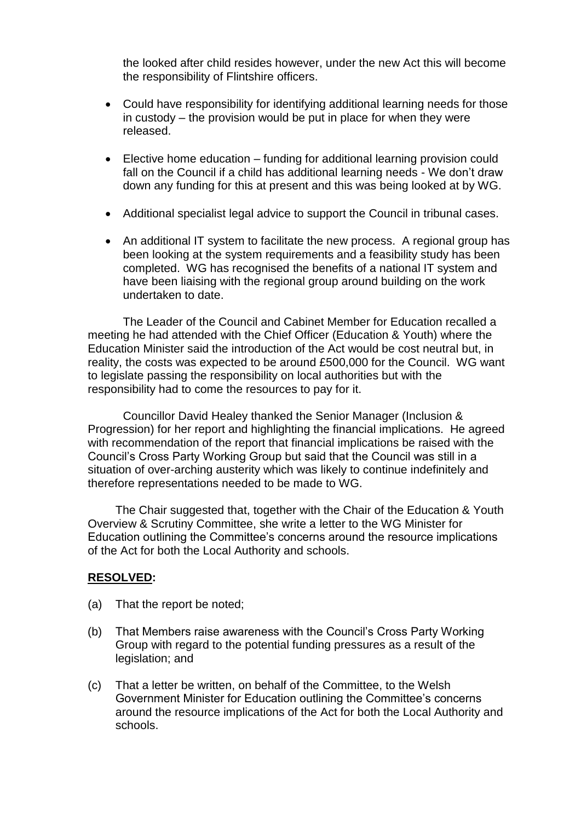the looked after child resides however, under the new Act this will become the responsibility of Flintshire officers.

- Could have responsibility for identifying additional learning needs for those in custody – the provision would be put in place for when they were released.
- Elective home education funding for additional learning provision could fall on the Council if a child has additional learning needs - We don't draw down any funding for this at present and this was being looked at by WG.
- Additional specialist legal advice to support the Council in tribunal cases.
- An additional IT system to facilitate the new process. A regional group has been looking at the system requirements and a feasibility study has been completed. WG has recognised the benefits of a national IT system and have been liaising with the regional group around building on the work undertaken to date.

The Leader of the Council and Cabinet Member for Education recalled a meeting he had attended with the Chief Officer (Education & Youth) where the Education Minister said the introduction of the Act would be cost neutral but, in reality, the costs was expected to be around £500,000 for the Council. WG want to legislate passing the responsibility on local authorities but with the responsibility had to come the resources to pay for it.

Councillor David Healey thanked the Senior Manager (Inclusion & Progression) for her report and highlighting the financial implications. He agreed with recommendation of the report that financial implications be raised with the Council's Cross Party Working Group but said that the Council was still in a situation of over-arching austerity which was likely to continue indefinitely and therefore representations needed to be made to WG.

The Chair suggested that, together with the Chair of the Education & Youth Overview & Scrutiny Committee, she write a letter to the WG Minister for Education outlining the Committee's concerns around the resource implications of the Act for both the Local Authority and schools.

# **RESOLVED:**

- (a) That the report be noted;
- (b) That Members raise awareness with the Council's Cross Party Working Group with regard to the potential funding pressures as a result of the legislation; and
- (c) That a letter be written, on behalf of the Committee, to the Welsh Government Minister for Education outlining the Committee's concerns around the resource implications of the Act for both the Local Authority and schools.